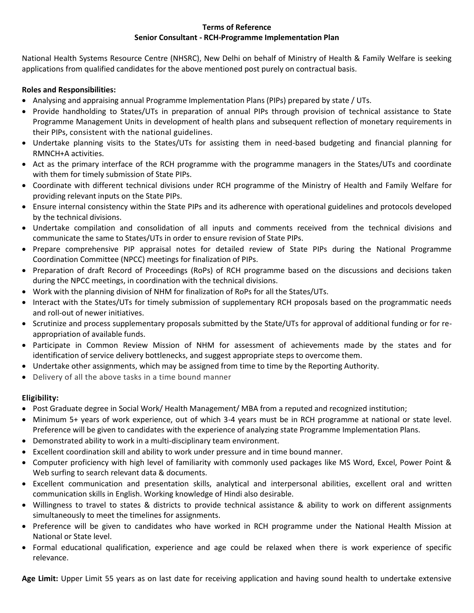#### **Terms of Reference Senior Consultant - RCH-Programme Implementation Plan**

National Health Systems Resource Centre (NHSRC), New Delhi on behalf of Ministry of Health & Family Welfare is seeking applications from qualified candidates for the above mentioned post purely on contractual basis.

### **Roles and Responsibilities:**

- Analysing and appraising annual Programme Implementation Plans (PIPs) prepared by state / UTs.
- Provide handholding to States/UTs in preparation of annual PIPs through provision of technical assistance to State Programme Management Units in development of health plans and subsequent reflection of monetary requirements in their PIPs, consistent with the national guidelines.
- Undertake planning visits to the States/UTs for assisting them in need-based budgeting and financial planning for RMNCH+A activities.
- Act as the primary interface of the RCH programme with the programme managers in the States/UTs and coordinate with them for timely submission of State PIPs.
- Coordinate with different technical divisions under RCH programme of the Ministry of Health and Family Welfare for providing relevant inputs on the State PIPs.
- Ensure internal consistency within the State PIPs and its adherence with operational guidelines and protocols developed by the technical divisions.
- Undertake compilation and consolidation of all inputs and comments received from the technical divisions and communicate the same to States/UTs in order to ensure revision of State PIPs.
- Prepare comprehensive PIP appraisal notes for detailed review of State PIPs during the National Programme Coordination Committee (NPCC) meetings for finalization of PIPs.
- Preparation of draft Record of Proceedings (RoPs) of RCH programme based on the discussions and decisions taken during the NPCC meetings, in coordination with the technical divisions.
- Work with the planning division of NHM for finalization of RoPs for all the States/UTs.
- Interact with the States/UTs for timely submission of supplementary RCH proposals based on the programmatic needs and roll-out of newer initiatives.
- Scrutinize and process supplementary proposals submitted by the State/UTs for approval of additional funding or for reappropriation of available funds.
- Participate in Common Review Mission of NHM for assessment of achievements made by the states and for identification of service delivery bottlenecks, and suggest appropriate steps to overcome them.
- Undertake other assignments, which may be assigned from time to time by the Reporting Authority.
- Delivery of all the above tasks in a time bound manner

### **Eligibility:**

- Post Graduate degree in Social Work/ Health Management/ MBA from a reputed and recognized institution;
- Minimum 5+ years of work experience, out of which 3-4 years must be in RCH programme at national or state level. Preference will be given to candidates with the experience of analyzing state Programme Implementation Plans.
- Demonstrated ability to work in a multi-disciplinary team environment.
- Excellent coordination skill and ability to work under pressure and in time bound manner.
- Computer proficiency with high level of familiarity with commonly used packages like MS Word, Excel, Power Point & Web surfing to search relevant data & documents.
- Excellent communication and presentation skills, analytical and interpersonal abilities, excellent oral and written communication skills in English. Working knowledge of Hindi also desirable.
- Willingness to travel to states & districts to provide technical assistance & ability to work on different assignments simultaneously to meet the timelines for assignments.
- Preference will be given to candidates who have worked in RCH programme under the National Health Mission at National or State level.
- Formal educational qualification, experience and age could be relaxed when there is work experience of specific relevance.

**Age Limit:** Upper Limit 55 years as on last date for receiving application and having sound health to undertake extensive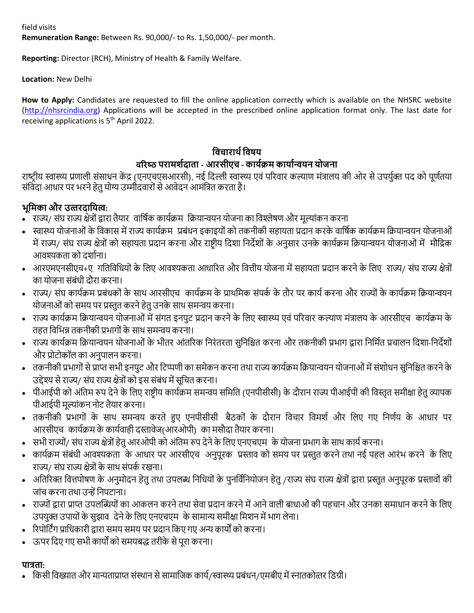field visits

**Remuneration Range:** Between Rs. 90,000/- to Rs. 1,50,000/- per month.

**Reporting:** Director (RCH), Ministry of Health & Family Welfare.

**Location:** New Delhi

**How to Apply:** Candidates are requested to fill the online application correctly which is available on the NHSRC website [\(http://nhsrcindia.org\)](http://nhsrcindia.org/) Applications will be accepted in the prescribed online application format only. The last date for receiving applications is 5<sup>th</sup> April 2022.

# **विचारार्थविषय** वरिष्ठ **परामर्थदाता - आरसीएच - कायथक्रम कायाथन्ियन योजना**

राष्ट्रीय स्वास्थ्य प्रणाली संसाधन केंद्र (एनएचएसआरसी), नई दिल्ली स्वास्थ्य एवं परिवार कल्याण मंत्रालय की ओर से उपर्युक्त पद को पूर्णतया संविदा आधार पर भरने हेतु योग्य उम्मीदवारों से आवेदन आमंत्रित करता है।

## **भूवमका और उत्तरदावयत्ि:**

- े राज्य/ संघ राज्य क्षेत्रों द्वारा तैयार वार्षिक कार्यक्रम क्रियान्वयन योजना का विश्लेषण और मूल्यांकन करना
- स्वास्थ्य योजनाओं के विकास में राज्य कार्यक्रम प्रबंधन इकाइयों को तकनीकी सहायता प्रदान करके वार्षिक कार्यक्रम क्रियान्वयन योजनाओं में राज्य/ संघ राज्य क्षेत्रों को सहायता प्रदान करना और राष्ट्रीय दिशा निर्देशों के अनुसार उनके कार्यक्रम क्रियान्वयन योजनाओं में मौद्रिक आवश्यकता को दर्शाना।
- आरएमएनसीएच+ए गतिविधियों के लिए आवश्यकता आधारित और वित्तीय योजना में सहायता प्रदान करने के लिए राज्य/ संघ राज्य क्षेत्रों का योजना संबंधी दौरा करना।
- राज्य/ संघ कायुक्रम प्रबंधकों के साथ आरसीएच कायुक्रम के प्राथदमक संपकु के तौर पर कायुकरना और राज्योंके कायुक्रम दक्रयान्वयन योजनाओं को समय पर प्रस्तुत करने हेतु उनके साथ समन्वय करना।
- राज्य कायुक्रम दक्रयान्वयन योजनाओं मेंसंगत इनपय् प्रिान करनेके दलए स्वास्थ्य एवं पररवार कल्ाण मंत्रालय के आरसीएच कायुक्रम के तहत विभिन्न तकनीकी प्रभागों के साथ समन्वय करना।
- राज्य कार्यक्रम क्रियान्वयन योजनाओं के भीतर आंतरिक निरंतरता सुनिश्चित करना और तकनीकी प्रभाग द्वारा निर्मित प्रचालन दिशा-निर्देशों और प्रो्ोकॉल का अनयपालन करना।
- तकनीकी प्रभागों से प्राप्त सभी इनपुट और टिप्पणी का समेकन करना तथा राज्य कार्यक्रम क्रियान्वयन योजनाओं में संशोधन सुनिश्चित करने के उद्देश्य से राज्य/ संघ राज्य क्षेत्रों को इस संबंध में सुचित करना।
- पीआईपी को अंतिम रुप देने के लिए राष्ट्रीय कार्यक्रम समन्वय समिति (एनपीसीसी) के दौरान राज्य पीआईपी की विस्तृत समीक्षा हेतु व्यापक पीआईपी मूल्यांकन नोट तैयार करना।
- तकनीकी प्रभागों के साथ समन्वय करते हुए एनपीसीसी बैठकों के दौरान विचार विमर्श और लिए गए निर्णय के आधार पर आरसीएच कार्यक्रम के कार्यवाही दस्तावेज(आरओपी) का मसौदा तैयार करना।
- सभी राज्यों/ संघ राज्य क्षेत्रों हेतु आरओपी को अंतिम रुप देने के लिए एनएचएम के योजना प्रभाग के साथ कार्य करना।
- कार्यक्रम संबंधी आवश्यकता के आधार पर आरसीएच अनुपूरक प्रस्ताव को समय पर प्रस्तुत करने तथा नई पहल आरंभ करने के लिए राज्य/ संघ राज्य क्षेत्रोंके साथ संपकु रखना।
- अतिरिक्त वित्तपोषण के अनुमोदन हेतु तथा उपलब्ध निधियों के पुनर्विनियोजन हेतु /राज्य संघ राज्य क्षेत्रों द्वारा प्रस्तुत अनुपूरक प्रस्तावों की जांच करना तथा उन्हें निपटाना।
- राज्योंद्वारा प्राप्त उपलब्धब्धयोंका आकलन करनेतथा सेवा प्रिान करनेमेंआनेवाली बाधाओंकी पहचान और उनका समाधान करनेके दलए उपयुक्त उपायों के सुझाव देने के लिए एनएचएम) के सामान्य समीक्षा मिशन में भाग लेना।
- ररपोद्िंग प्रादधकारी द्वारा समय समय पर प्रिान दकए गए अन्य कायों को करना।
- ऊपर दिए गए सभी कायों को समयबद्ध तरीके सेपूरा करना।

### **पात्रता:**

• किसी विख्यात और मान्यताप्राप्त संस्थान से सामाजिक कार्य/स्वास्थ्य प्रबंधन/एमबीए में स्नातकोत्तर डिग्री।